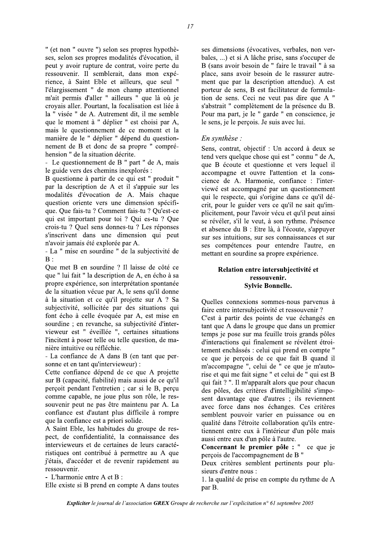" (et non " ouvre ") selon ses propres hypothèses, selon ses propres modalités d'évocation, il peut y avoir rupture de contrat, voire perte du ressouvenir. Il semblerait, dans mon expérience, à Saint Eble et ailleurs, que seul " l'élargissement " de mon champ attentionnel m'ait permis d'aller " ailleurs " que là où je crovais aller. Pourtant, la focalisation est liée à la "visée " de A. Autrement dit, il me semble que le moment à " déplier " est choisi par A, mais le questionnement de ce moment et la manière de le " déplier " dépend du questionnement de B et donc de sa propre " compréhension " de la situation décrite.

- Le questionnement de B " part " de A, mais le guide vers des chemins inexplorés :

B questionne à partir de ce qui est " produit " par la description de A et il s'appuie sur les modalités d'évocation de A. Mais chaque question oriente vers une dimension spécifique. Que fais-tu ? Comment fais-tu ? Qu'est-ce qui est important pour toi ? Qui es-tu ? Que crois-tu ? Quel sens donnes-tu ? Les réponses s'inscrivent dans une dimension qui peut n'avoir jamais été explorée par A.

- La " mise en sourdine " de la subjectivité de  $B:$ 

Que met B en sourdine ? Il laisse de côté ce que " lui fait " la description de A, en écho à sa propre expérience, son interprétation spontanée de la situation vécue par A, le sens qu'il donne à la situation et ce qu'il projette sur A ? Sa subjectivité, sollicitée par des situations qui font écho à celle évoquée par A, est mise en sourdine ; en revanche, sa subjectivité d'intervieweur est " éveillée ", certaines situations l'incitent à poser telle ou telle question, de manière intuitive ou réfléchie.

- La confiance de A dans B (en tant que personne et en tant qu'intervieweur) :

Cette confiance dépend de ce que A projette sur B (capacité, fiabilité) mais aussi de ce qu'il percoit pendant l'entretien : car si le B, percu comme capable, ne joue plus son rôle, le ressouvenir peut ne pas être maintenu par A. La confiance est d'autant plus difficile à rompre que la confiance est a priori solide.

A Saint Eble, les habitudes du groupe de respect, de confidentialité, la connaissance des intervieweurs et de certaines de leurs caractéristiques ont contribué à permettre au A que j'étais, d'accéder et de revenir rapidement au ressouvenir.

- L'harmonie entre A et B :

Elle existe si B prend en compte A dans toutes

ses dimensions (évocatives, verbales, non verbales, ...) et si A lâche prise, sans s'occuper de B (sans avoir besoin de " faire le travail " à sa place, sans avoir besoin de le rassurer autrement que par la description attendue). A est porteur de sens, B est facilitateur de formulation de sens. Ceci ne veut pas dire que A " s'abstrait " complètement de la présence du B. Pour ma part, je le " garde " en conscience, je le sens, je le perçois. Je suis avec lui.

## En synthèse :

Sens, contrat, objectif : Un accord à deux se tend vers quelque chose qui est " connu " de A, que B écoute et questionne et vers lequel il accompagne et ouvre l'attention et la conscience de A. Harmonie, confiance : l'interviewé est accompagné par un questionnement qui le respecte, qui s'origine dans ce qu'il décrit, pour le guider vers ce qu'il ne sait qu'implicitement, pour l'avoir vécu et qu'il peut ainsi se révéler, s'il le veut, à son rythme. Présence et absence du B : Etre là, à l'écoute, s'appuyer sur ses intuitions, sur ses connaissances et sur ses compétences pour entendre l'autre, en mettant en sourdine sa propre expérience.

## Relation entre intersubiectivité et ressouvenir. **Sylvie Bonnelle.**

Quelles connexions sommes-nous parvenus à faire entre intersubjectivité et ressouvenir ? C'est à partir des points de vue échangés en tant que A dans le groupe que dans un premier temps je pose sur ma feuille trois grands pôles d'interactions qui finalement se révèlent étroitement enchâssés : celui qui prend en compte " ce que je perçois de ce que fait B quand il m'accompagne ", celui de " ce que je m'autorise et qui me fait signe " et celui de " qui est B qui fait ? ". Il m'apparaît alors que pour chacun des pôles, des critères d'intelligibilité s'imposent davantage que d'autres ; ils reviennent avec force dans nos échanges. Ces critères semblent pouvoir varier en puissance ou en qualité dans l'étroite collaboration qu'ils entretiennent entre eux à l'intérieur d'un pôle mais aussi entre eux d'un pôle à l'autre.

Concernant le premier pôle : " ce que je perçois de l'accompagnement de B "

Deux critères semblent pertinents pour plusieurs d'entre nous :

1. la qualité de prise en compte du rythme de A par B.